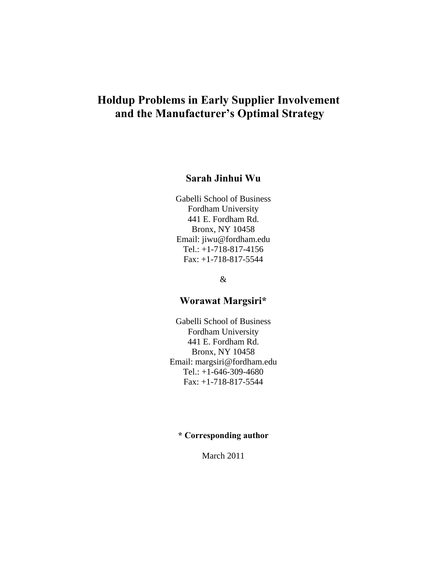# **Holdup Problems in Early Supplier Involvement and the Manufacturer's Optimal Strategy**

# **Sarah Jinhui Wu**

Gabelli School of Business Fordham University 441 E. Fordham Rd. Bronx, NY 10458 Email: jiwu@fordham.edu Tel.: +1-718-817-4156 Fax: +1-718-817-5544

&

## **Worawat Margsiri\***

Gabelli School of Business Fordham University 441 E. Fordham Rd. Bronx, NY 10458 Email: margsiri@fordham.edu Tel.: +1-646-309-4680 Fax: +1-718-817-5544

# **\* Corresponding author**

March 2011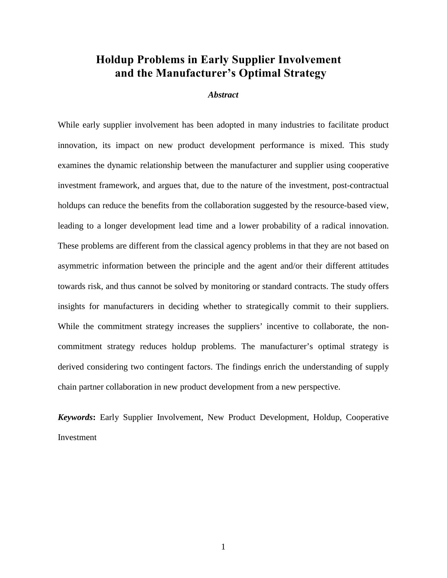# **Holdup Problems in Early Supplier Involvement and the Manufacturer's Optimal Strategy**

#### *Abstract*

While early supplier involvement has been adopted in many industries to facilitate product innovation, its impact on new product development performance is mixed. This study examines the dynamic relationship between the manufacturer and supplier using cooperative investment framework, and argues that, due to the nature of the investment, post-contractual holdups can reduce the benefits from the collaboration suggested by the resource-based view, leading to a longer development lead time and a lower probability of a radical innovation. These problems are different from the classical agency problems in that they are not based on asymmetric information between the principle and the agent and/or their different attitudes towards risk, and thus cannot be solved by monitoring or standard contracts. The study offers insights for manufacturers in deciding whether to strategically commit to their suppliers. While the commitment strategy increases the suppliers' incentive to collaborate, the noncommitment strategy reduces holdup problems. The manufacturer's optimal strategy is derived considering two contingent factors. The findings enrich the understanding of supply chain partner collaboration in new product development from a new perspective.

*Keywords***:** Early Supplier Involvement, New Product Development, Holdup, Cooperative Investment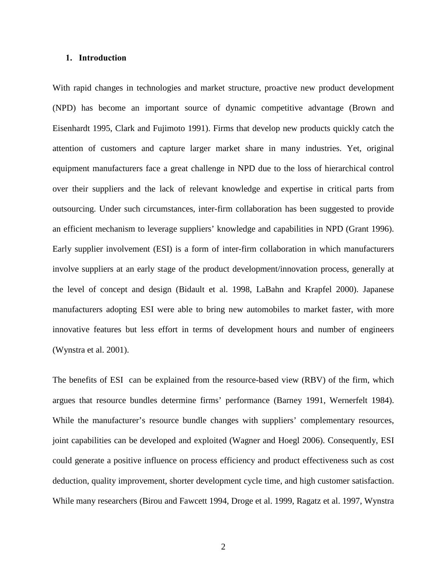#### **1. Introduction**

With rapid changes in technologies and market structure, proactive new product development (NPD) has become an important source of dynamic competitive advantage (Brown and Eisenhardt 1995, Clark and Fujimoto 1991). Firms that develop new products quickly catch the attention of customers and capture larger market share in many industries. Yet, original equipment manufacturers face a great challenge in NPD due to the loss of hierarchical control over their suppliers and the lack of relevant knowledge and expertise in critical parts from outsourcing. Under such circumstances, inter-firm collaboration has been suggested to provide an efficient mechanism to leverage suppliers' knowledge and capabilities in NPD (Grant 1996). Early supplier involvement (ESI) is a form of inter-firm collaboration in which manufacturers involve suppliers at an early stage of the product development/innovation process, generally at the level of concept and design (Bidault et al. 1998, LaBahn and Krapfel 2000). Japanese manufacturers adopting ESI were able to bring new automobiles to market faster, with more innovative features but less effort in terms of development hours and number of engineers (Wynstra et al. 2001).

The benefits of ESI can be explained from the resource-based view (RBV) of the firm, which argues that resource bundles determine firms' performance (Barney 1991, Wernerfelt 1984). While the manufacturer's resource bundle changes with suppliers' complementary resources, joint capabilities can be developed and exploited (Wagner and Hoegl 2006). Consequently, ESI could generate a positive influence on process efficiency and product effectiveness such as cost deduction, quality improvement, shorter development cycle time, and high customer satisfaction. While many researchers (Birou and Fawcett 1994, Droge et al. 1999, Ragatz et al. 1997, Wynstra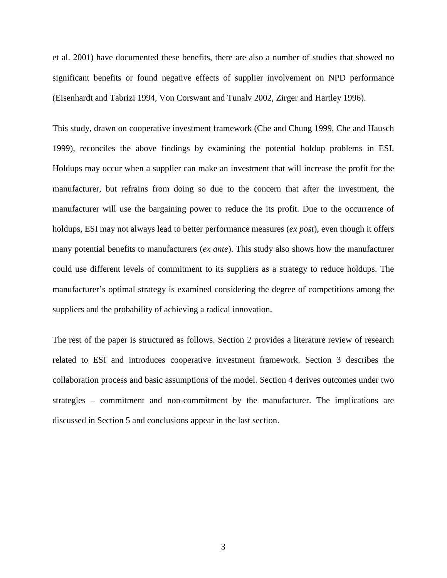et al. 2001) have documented these benefits, there are also a number of studies that showed no significant benefits or found negative effects of supplier involvement on NPD performance (Eisenhardt and Tabrizi 1994, Von Corswant and Tunalv 2002, Zirger and Hartley 1996).

This study, drawn on cooperative investment framework (Che and Chung 1999, Che and Hausch 1999), reconciles the above findings by examining the potential holdup problems in ESI. Holdups may occur when a supplier can make an investment that will increase the profit for the manufacturer, but refrains from doing so due to the concern that after the investment, the manufacturer will use the bargaining power to reduce the its profit. Due to the occurrence of holdups, ESI may not always lead to better performance measures (*ex post*), even though it offers many potential benefits to manufacturers (*ex ante*). This study also shows how the manufacturer could use different levels of commitment to its suppliers as a strategy to reduce holdups. The manufacturer's optimal strategy is examined considering the degree of competitions among the suppliers and the probability of achieving a radical innovation.

The rest of the paper is structured as follows. Section 2 provides a literature review of research related to ESI and introduces cooperative investment framework. Section 3 describes the collaboration process and basic assumptions of the model. Section 4 derives outcomes under two strategies – commitment and non-commitment by the manufacturer. The implications are discussed in Section 5 and conclusions appear in the last section.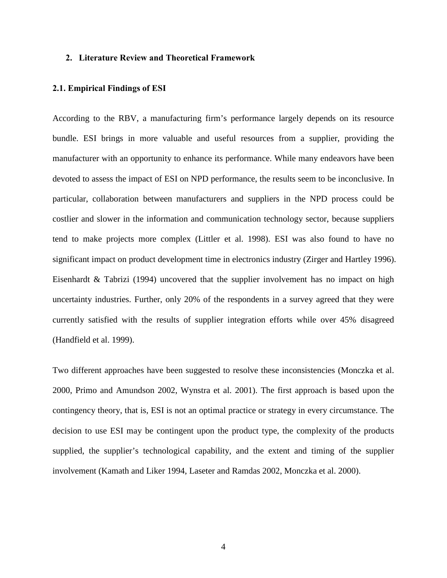#### **2. Literature Review and Theoretical Framework**

#### **2.1. Empirical Findings of ESI**

According to the RBV, a manufacturing firm's performance largely depends on its resource bundle. ESI brings in more valuable and useful resources from a supplier, providing the manufacturer with an opportunity to enhance its performance. While many endeavors have been devoted to assess the impact of ESI on NPD performance, the results seem to be inconclusive. In particular, collaboration between manufacturers and suppliers in the NPD process could be costlier and slower in the information and communication technology sector, because suppliers tend to make projects more complex (Littler et al. 1998). ESI was also found to have no significant impact on product development time in electronics industry (Zirger and Hartley 1996). Eisenhardt & Tabrizi (1994) uncovered that the supplier involvement has no impact on high uncertainty industries. Further, only 20% of the respondents in a survey agreed that they were currently satisfied with the results of supplier integration efforts while over 45% disagreed (Handfield et al. 1999).

Two different approaches have been suggested to resolve these inconsistencies (Monczka et al. 2000, Primo and Amundson 2002, Wynstra et al. 2001). The first approach is based upon the contingency theory, that is, ESI is not an optimal practice or strategy in every circumstance. The decision to use ESI may be contingent upon the product type, the complexity of the products supplied, the supplier's technological capability, and the extent and timing of the supplier involvement (Kamath and Liker 1994, Laseter and Ramdas 2002, Monczka et al. 2000).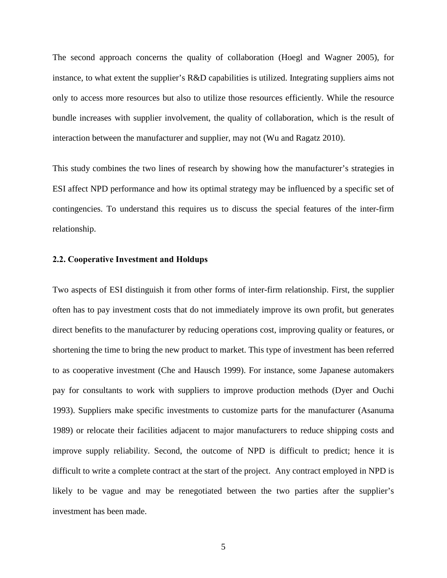The second approach concerns the quality of collaboration (Hoegl and Wagner 2005), for instance, to what extent the supplier's R&D capabilities is utilized. Integrating suppliers aims not only to access more resources but also to utilize those resources efficiently. While the resource bundle increases with supplier involvement, the quality of collaboration, which is the result of interaction between the manufacturer and supplier, may not (Wu and Ragatz 2010).

This study combines the two lines of research by showing how the manufacturer's strategies in ESI affect NPD performance and how its optimal strategy may be influenced by a specific set of contingencies. To understand this requires us to discuss the special features of the inter-firm relationship.

#### **2.2. Cooperative Investment and Holdups**

Two aspects of ESI distinguish it from other forms of inter-firm relationship. First, the supplier often has to pay investment costs that do not immediately improve its own profit, but generates direct benefits to the manufacturer by reducing operations cost, improving quality or features, or shortening the time to bring the new product to market. This type of investment has been referred to as cooperative investment (Che and Hausch 1999). For instance, some Japanese automakers pay for consultants to work with suppliers to improve production methods (Dyer and Ouchi 1993). Suppliers make specific investments to customize parts for the manufacturer (Asanuma 1989) or relocate their facilities adjacent to major manufacturers to reduce shipping costs and improve supply reliability. Second, the outcome of NPD is difficult to predict; hence it is difficult to write a complete contract at the start of the project. Any contract employed in NPD is likely to be vague and may be renegotiated between the two parties after the supplier's investment has been made.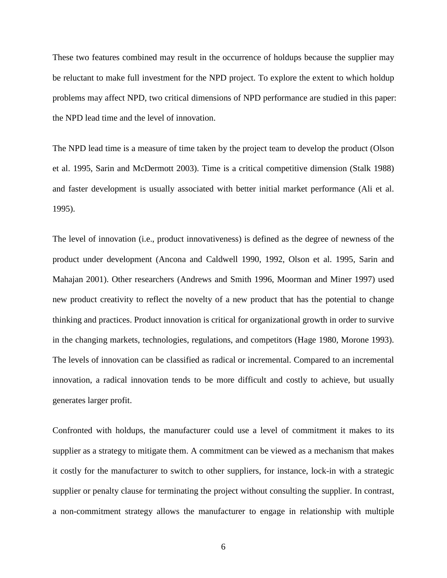These two features combined may result in the occurrence of holdups because the supplier may be reluctant to make full investment for the NPD project. To explore the extent to which holdup problems may affect NPD, two critical dimensions of NPD performance are studied in this paper: the NPD lead time and the level of innovation.

The NPD lead time is a measure of time taken by the project team to develop the product (Olson et al. 1995, Sarin and McDermott 2003). Time is a critical competitive dimension (Stalk 1988) and faster development is usually associated with better initial market performance (Ali et al. 1995).

The level of innovation (i.e., product innovativeness) is defined as the degree of newness of the product under development (Ancona and Caldwell 1990, 1992, Olson et al. 1995, Sarin and Mahajan 2001). Other researchers (Andrews and Smith 1996, Moorman and Miner 1997) used new product creativity to reflect the novelty of a new product that has the potential to change thinking and practices. Product innovation is critical for organizational growth in order to survive in the changing markets, technologies, regulations, and competitors (Hage 1980, Morone 1993). The levels of innovation can be classified as radical or incremental. Compared to an incremental innovation, a radical innovation tends to be more difficult and costly to achieve, but usually generates larger profit.

Confronted with holdups, the manufacturer could use a level of commitment it makes to its supplier as a strategy to mitigate them. A commitment can be viewed as a mechanism that makes it costly for the manufacturer to switch to other suppliers, for instance, lock-in with a strategic supplier or penalty clause for terminating the project without consulting the supplier. In contrast, a non-commitment strategy allows the manufacturer to engage in relationship with multiple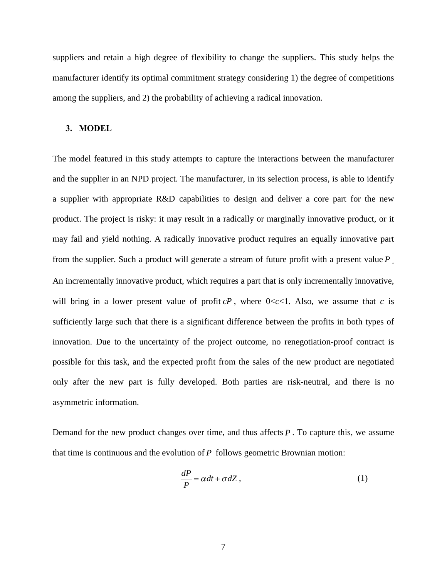suppliers and retain a high degree of flexibility to change the suppliers. This study helps the manufacturer identify its optimal commitment strategy considering 1) the degree of competitions among the suppliers, and 2) the probability of achieving a radical innovation.

#### **3. MODEL**

The model featured in this study attempts to capture the interactions between the manufacturer and the supplier in an NPD project. The manufacturer, in its selection process, is able to identify a supplier with appropriate R&D capabilities to design and deliver a core part for the new product. The project is risky: it may result in a radically or marginally innovative product, or it may fail and yield nothing. A radically innovative product requires an equally innovative part from the supplier. Such a product will generate a stream of future profit with a present value *P* . An incrementally innovative product, which requires a part that is only incrementally innovative, will bring in a lower present value of profit  $cP$ , where  $0 < c < 1$ . Also, we assume that *c* is sufficiently large such that there is a significant difference between the profits in both types of innovation. Due to the uncertainty of the project outcome, no renegotiation-proof contract is possible for this task, and the expected profit from the sales of the new product are negotiated only after the new part is fully developed. Both parties are risk-neutral, and there is no asymmetric information.

Demand for the new product changes over time, and thus affects *P* . To capture this, we assume that time is continuous and the evolution of *P* follows geometric Brownian motion:

$$
\frac{dP}{P} = \alpha dt + \sigma dZ, \qquad (1)
$$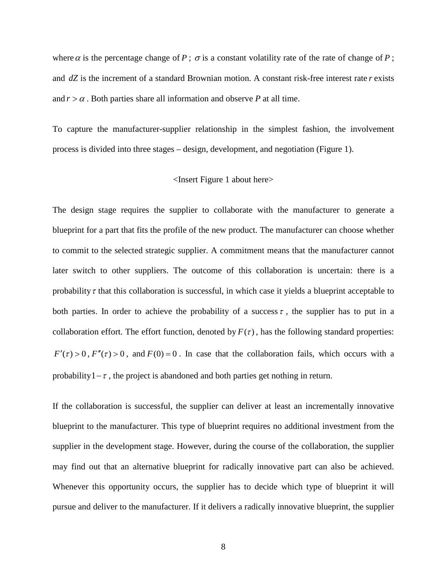where  $\alpha$  is the percentage change of  $P$ ;  $\sigma$  is a constant volatility rate of the rate of change of  $P$ ; and *dZ* is the increment of a standard Brownian motion. A constant risk-free interest rate *r* exists and  $r > \alpha$ . Both parties share all information and observe *P* at all time.

To capture the manufacturer-supplier relationship in the simplest fashion, the involvement process is divided into three stages – design, development, and negotiation (Figure 1).

#### <Insert Figure 1 about here>

The design stage requires the supplier to collaborate with the manufacturer to generate a blueprint for a part that fits the profile of the new product. The manufacturer can choose whether to commit to the selected strategic supplier. A commitment means that the manufacturer cannot later switch to other suppliers. The outcome of this collaboration is uncertain: there is a probability  $\tau$  that this collaboration is successful, in which case it yields a blueprint acceptable to both parties. In order to achieve the probability of a success  $\tau$ , the supplier has to put in a collaboration effort. The effort function, denoted by  $F(\tau)$ , has the following standard properties:  $F'(\tau) > 0$ ,  $F''(\tau) > 0$ , and  $F(0) = 0$ . In case that the collaboration fails, which occurs with a probability  $1-\tau$ , the project is abandoned and both parties get nothing in return.

If the collaboration is successful, the supplier can deliver at least an incrementally innovative blueprint to the manufacturer. This type of blueprint requires no additional investment from the supplier in the development stage. However, during the course of the collaboration, the supplier may find out that an alternative blueprint for radically innovative part can also be achieved. Whenever this opportunity occurs, the supplier has to decide which type of blueprint it will pursue and deliver to the manufacturer. If it delivers a radically innovative blueprint, the supplier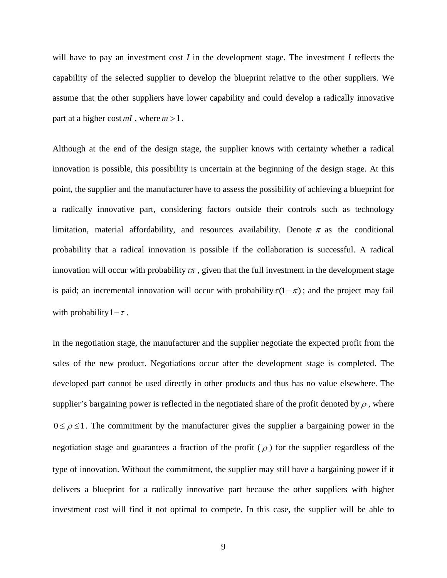will have to pay an investment cost *I* in the development stage. The investment *I* reflects the capability of the selected supplier to develop the blueprint relative to the other suppliers. We assume that the other suppliers have lower capability and could develop a radically innovative part at a higher cost  $mI$ , where  $m > 1$ .

Although at the end of the design stage, the supplier knows with certainty whether a radical innovation is possible, this possibility is uncertain at the beginning of the design stage. At this point, the supplier and the manufacturer have to assess the possibility of achieving a blueprint for a radically innovative part, considering factors outside their controls such as technology limitation, material affordability, and resources availability. Denote  $\pi$  as the conditional probability that a radical innovation is possible if the collaboration is successful. A radical innovation will occur with probability  $\tau\pi$ , given that the full investment in the development stage is paid; an incremental innovation will occur with probability  $\tau(1-\pi)$ ; and the project may fail with probability  $1-\tau$ .

In the negotiation stage, the manufacturer and the supplier negotiate the expected profit from the sales of the new product. Negotiations occur after the development stage is completed. The developed part cannot be used directly in other products and thus has no value elsewhere. The supplier's bargaining power is reflected in the negotiated share of the profit denoted by  $\rho$ , where  $0 \le \rho \le 1$ . The commitment by the manufacturer gives the supplier a bargaining power in the negotiation stage and guarantees a fraction of the profit ( $\rho$ ) for the supplier regardless of the type of innovation. Without the commitment, the supplier may still have a bargaining power if it delivers a blueprint for a radically innovative part because the other suppliers with higher investment cost will find it not optimal to compete. In this case, the supplier will be able to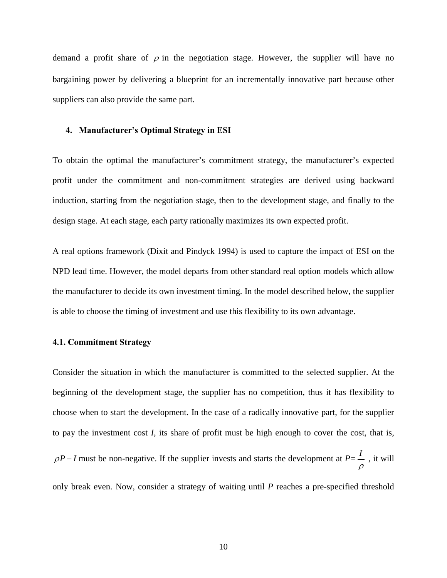demand a profit share of  $\rho$  in the negotiation stage. However, the supplier will have no bargaining power by delivering a blueprint for an incrementally innovative part because other suppliers can also provide the same part.

#### **4. Manufacturer's Optimal Strategy in ESI**

To obtain the optimal the manufacturer's commitment strategy, the manufacturer's expected profit under the commitment and non-commitment strategies are derived using backward induction, starting from the negotiation stage, then to the development stage, and finally to the design stage. At each stage, each party rationally maximizes its own expected profit.

A real options framework (Dixit and Pindyck 1994) is used to capture the impact of ESI on the NPD lead time. However, the model departs from other standard real option models which allow the manufacturer to decide its own investment timing. In the model described below, the supplier is able to choose the timing of investment and use this flexibility to its own advantage.

#### **4.1. Commitment Strategy**

Consider the situation in which the manufacturer is committed to the selected supplier. At the beginning of the development stage, the supplier has no competition, thus it has flexibility to choose when to start the development. In the case of a radically innovative part, for the supplier to pay the investment cost *I*, its share of profit must be high enough to cover the cost, that is,  $\rho P - I$  must be non-negative. If the supplier invests and starts the development at  $P = \frac{I}{I}$ ρ , it will

only break even. Now, consider a strategy of waiting until *P* reaches a pre-specified threshold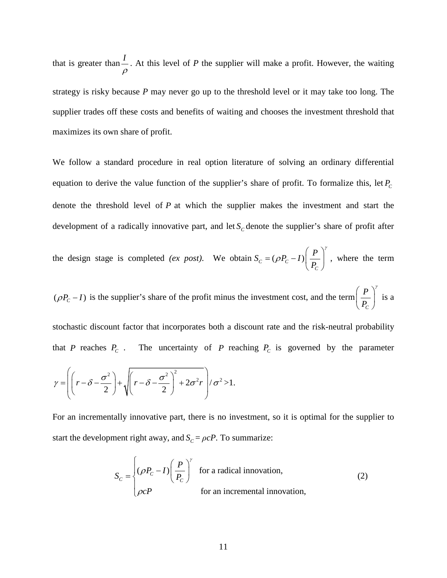that is greater than *<sup>I</sup>* ρ . At this level of *P* the supplier will make a profit. However, the waiting strategy is risky because *P* may never go up to the threshold level or it may take too long. The supplier trades off these costs and benefits of waiting and chooses the investment threshold that maximizes its own share of profit.

We follow a standard procedure in real option literature of solving an ordinary differential equation to derive the value function of the supplier's share of profit. To formalize this, let  $P_c$ denote the threshold level of *P* at which the supplier makes the investment and start the development of a radically innovative part, and let  $S_c$  denote the supplier's share of profit after

the design stage is completed *(ex post)*. We obtain  $S_c = (\rho P_c - I)$ *C*  $S_c = (\rho P_c - I) \left( \frac{P}{R} \right)$ *P* γ ρ  $=(\rho P_c - I)\left(\frac{P}{P_c}\right)$ , where the term

 $(\rho P_c - I)$  is the supplier's share of the profit minus the investment cost, and the term  $\frac{P}{P_c}$ *C P*  $\left(\frac{P}{P_{C}}\right)^{\gamma}$ is a

stochastic discount factor that incorporates both a discount rate and the risk-neutral probability that *P* reaches  $P_c$ . The uncertainty of *P* reaching  $P_c$  is governed by the parameter

$$
\gamma = \left( \left( r - \delta - \frac{\sigma^2}{2} \right) + \sqrt{ \left( r - \delta - \frac{\sigma^2}{2} \right)^2 + 2\sigma^2 r} \right) / \sigma^2 > 1.
$$

For an incrementally innovative part, there is no investment, so it is optimal for the supplier to start the development right away, and  $S_c = \rho cP$ . To summarize:

$$
S_C = \begin{cases} (\rho P_C - I) \left( \frac{P}{P_C} \right)^{\gamma} & \text{for a radical innovation,} \\ \rho cP & \text{for an incremental innovation,} \end{cases}
$$
 (2)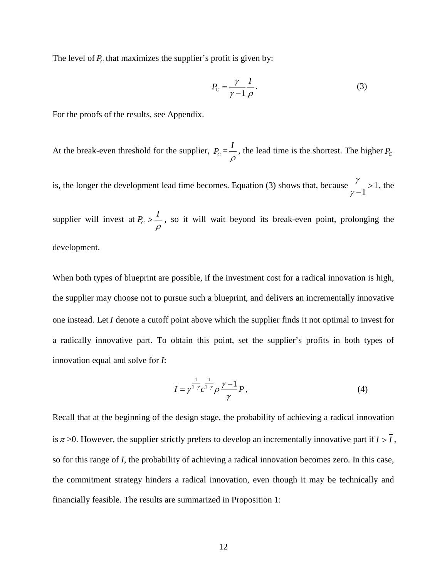The level of  $P_c$  that maximizes the supplier's profit is given by:

$$
P_C = \frac{\gamma}{\gamma - 1} \frac{I}{\rho} \,. \tag{3}
$$

For the proofs of the results, see Appendix.

At the break-even threshold for the supplier,  $P_c = \frac{I}{\rho}$ , the lead time is the shortest. The higher  $P_c$ 

is, the longer the development lead time becomes. Equation (3) shows that, because  $\frac{1}{1}$  > 1 1 γ  $\frac{7}{\gamma-1} > 1$ , the

supplier will invest at  $P_c > \frac{I}{I}$ ρ  $>$   $\sim$  , so it will wait beyond its break-even point, prolonging the development.

When both types of blueprint are possible, if the investment cost for a radical innovation is high, the supplier may choose not to pursue such a blueprint, and delivers an incrementally innovative one instead. Let  $\overline{I}$  denote a cutoff point above which the supplier finds it not optimal to invest for a radically innovative part. To obtain this point, set the supplier's profits in both types of innovation equal and solve for *I*:

$$
\overline{I} = \gamma^{\frac{1}{1-\gamma}} c^{\frac{1}{1-\gamma}} \rho \frac{\gamma - 1}{\gamma} P,
$$
\n(4)

Recall that at the beginning of the design stage, the probability of achieving a radical innovation is  $\pi$  >0. However, the supplier strictly prefers to develop an incrementally innovative part if  $I > \overline{I}$ , so for this range of *I*, the probability of achieving a radical innovation becomes zero. In this case, the commitment strategy hinders a radical innovation, even though it may be technically and financially feasible. The results are summarized in Proposition 1: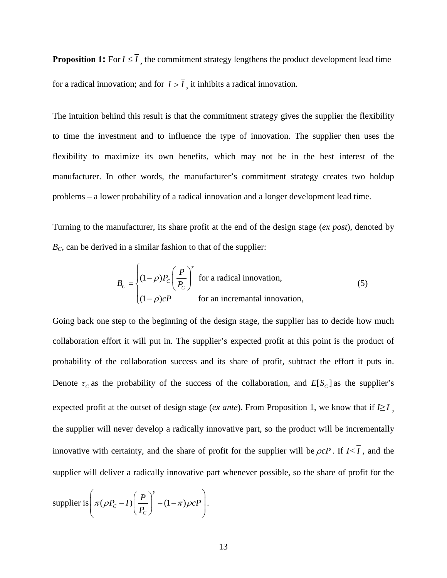**Proposition 1:** For  $I \leq I$ , the commitment strategy lengthens the product development lead time for a radical innovation; and for  $I > \overline{I}$ , it inhibits a radical innovation.

The intuition behind this result is that the commitment strategy gives the supplier the flexibility to time the investment and to influence the type of innovation. The supplier then uses the flexibility to maximize its own benefits, which may not be in the best interest of the manufacturer. In other words, the manufacturer's commitment strategy creates two holdup problems – a lower probability of a radical innovation and a longer development lead time.

Turning to the manufacturer, its share profit at the end of the design stage (*ex post*), denoted by  $B<sub>C</sub>$ , can be derived in a similar fashion to that of the supplier:

$$
B_C = \begin{cases} (1 - \rho)P_C \left(\frac{P}{P_C}\right)^{\gamma} & \text{for a radical innovation,} \\ (1 - \rho)CP & \text{for an incremental innovation,} \end{cases}
$$
 (5)

Going back one step to the beginning of the design stage, the supplier has to decide how much collaboration effort it will put in. The supplier's expected profit at this point is the product of probability of the collaboration success and its share of profit, subtract the effort it puts in. Denote  $\tau_c$  as the probability of the success of the collaboration, and  $E[S_c]$  as the supplier's expected profit at the outset of design stage (*ex ante*). From Proposition 1, we know that if  $I \geq I$ , the supplier will never develop a radically innovative part, so the product will be incrementally innovative with certainty, and the share of profit for the supplier will be  $\rho cP$ . If  $I<\overline{I}$ , and the supplier will deliver a radically innovative part whenever possible, so the share of profit for the

$$
\text{supplier is } \left( \pi (\rho P_C - I) \left( \frac{P}{P_C} \right)^{\gamma} + (1 - \pi) \rho c P \right).
$$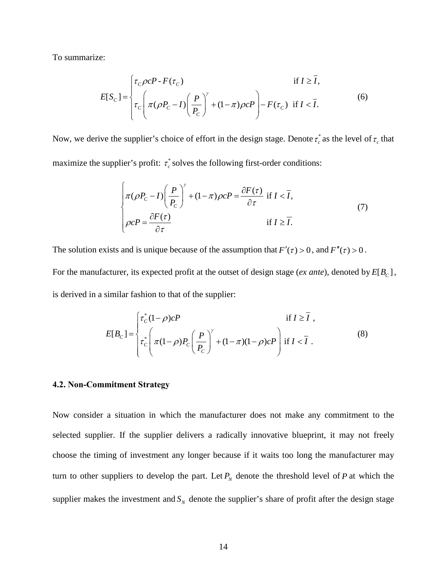To summarize:

$$
E[S_C] = \begin{cases} \tau_C \rho c P \cdot F(\tau_C) & \text{if } I \ge \overline{I}, \\ \tau_C \left( \pi (\rho P_C - I) \left( \frac{P}{P_C} \right)^{\gamma} + (1 - \pi) \rho c P \right) - F(\tau_C) & \text{if } I < \overline{I}. \end{cases} \tag{6}
$$

Now, we derive the supplier's choice of effort in the design stage. Denote  $\tau_c^*$  as the level of  $\tau_c$  that maximize the supplier's profit:  $\tau_c^*$  solves the following first-order conditions:

$$
\begin{cases}\n\pi(\rho P_c - I) \left(\frac{P}{P_c}\right)^{\gamma} + (1 - \pi)\rho c P = \frac{\partial F(\tau)}{\partial \tau} \text{ if } I < \overline{I}, \\
\rho c P = \frac{\partial F(\tau)}{\partial \tau} \text{ if } I \ge \overline{I}.\n\end{cases} \tag{7}
$$

The solution exists and is unique because of the assumption that  $F'(\tau) > 0$ , and  $F''(\tau) > 0$ . For the manufacturer, its expected profit at the outset of design stage (*ex ante*), denoted by  $E[B_C]$ , is derived in a similar fashion to that of the supplier:

$$
E[B_C] = \begin{cases} \tau_C^*(1-\rho)cP & \text{if } I \ge \overline{I} ,\\ \tau_C^* \left( \pi(1-\rho)P_C\left(\frac{P}{P_C}\right)^{\gamma} + (1-\pi)(1-\rho)cP \right) & \text{if } I < \overline{I} . \end{cases}
$$
(8)

#### **4.2. Non-Commitment Strategy**

Now consider a situation in which the manufacturer does not make any commitment to the selected supplier. If the supplier delivers a radically innovative blueprint, it may not freely choose the timing of investment any longer because if it waits too long the manufacturer may turn to other suppliers to develop the part. Let  $P_N$  denote the threshold level of  $P$  at which the supplier makes the investment and  $S<sub>N</sub>$  denote the supplier's share of profit after the design stage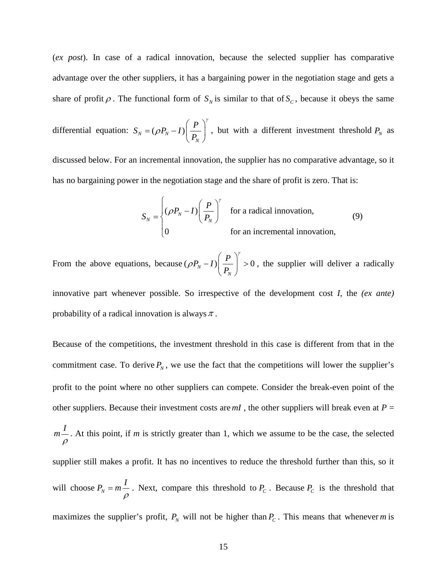(*ex post*). In case of a radical innovation, because the selected supplier has comparative advantage over the other suppliers, it has a bargaining power in the negotiation stage and gets a share of profit  $\rho$ . The functional form of  $S_N$  is similar to that of  $S_C$ , because it obeys the same

differential equation:  $S_N = (\rho P_N - I)$ *N*  $S_N = (\rho P_N - I) \left( \frac{P}{R} \right)$ *P* γ ρ  $=(\rho P_{N}-I)\left(\frac{P}{P_{N}}\right)$ , but with a different investment threshold  $P_N$  as

discussed below. For an incremental innovation, the supplier has no comparative advantage, so it has no bargaining power in the negotiation stage and the share of profit is zero. That is:

$$
S_N = \begin{cases} (\rho P_N - I) \left( \frac{P}{P_N} \right)^{\gamma} & \text{for a radical innovation,} \\ 0 & \text{for an incremental innovation,} \end{cases}
$$
 (9)

From the above equations, because  $(\rho P_N - I) \left| \frac{I}{R} \right| > 0$ *N*  $P_N - I$ ) $\left( \frac{P}{P} \right)$ *P* γ ρ  $(P)$  $-I$ ) $\left(\frac{I}{P_N}\right) > 0$ , the supplier will deliver a radically

innovative part whenever possible. So irrespective of the development cost *I*, the *(ex ante)* probability of a radical innovation is always  $\pi$ .

Because of the competitions, the investment threshold in this case is different from that in the commitment case. To derive  $P_N$ , we use the fact that the competitions will lower the supplier's profit to the point where no other suppliers can compete. Consider the break-even point of the other suppliers. Because their investment costs are  $mI$ , the other suppliers will break even at  $P =$ *I m* ρ . At this point, if *m* is strictly greater than 1, which we assume to be the case, the selected supplier still makes a profit. It has no incentives to reduce the threshold further than this, so it will choose  $P_N = m \frac{I}{\rho}$ . Next, compare this threshold to  $P_C$ . Because  $P_C$  is the threshold that maximizes the supplier's profit,  $P_N$  will not be higher than  $P_C$ . This means that whenever *m* is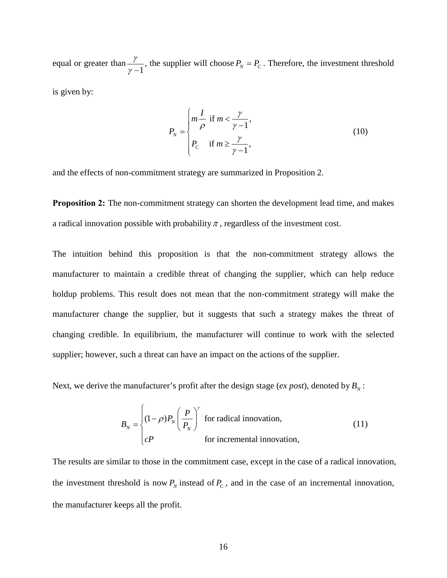equal or greater than  $\frac{\gamma}{\gamma - 1}$ , the supplier will choose  $P_N = P_C$ . Therefore, the investment threshold

is given by:

$$
P_N = \begin{cases} m\frac{I}{\rho} & \text{if } m < \frac{\gamma}{\gamma - 1}, \\ P_C & \text{if } m \ge \frac{\gamma}{\gamma - 1}, \end{cases}
$$
(10)

and the effects of non-commitment strategy are summarized in Proposition 2.

**Proposition 2:** The non-commitment strategy can shorten the development lead time, and makes a radical innovation possible with probability  $\pi$ , regardless of the investment cost.

The intuition behind this proposition is that the non-commitment strategy allows the manufacturer to maintain a credible threat of changing the supplier, which can help reduce holdup problems. This result does not mean that the non-commitment strategy will make the manufacturer change the supplier, but it suggests that such a strategy makes the threat of changing credible. In equilibrium, the manufacturer will continue to work with the selected supplier; however, such a threat can have an impact on the actions of the supplier.

Next, we derive the manufacturer's profit after the design stage (*ex post*), denoted by  $B<sub>N</sub>$ :

$$
B_N = \begin{cases} (1 - \rho)P_N \left(\frac{P}{P_N}\right)^{\gamma} & \text{for radical innovation,} \\ cP & \text{for incremental innovation,} \end{cases}
$$
 (11)

The results are similar to those in the commitment case, except in the case of a radical innovation, the investment threshold is now  $P_N$  instead of  $P_C$ , and in the case of an incremental innovation, the manufacturer keeps all the profit.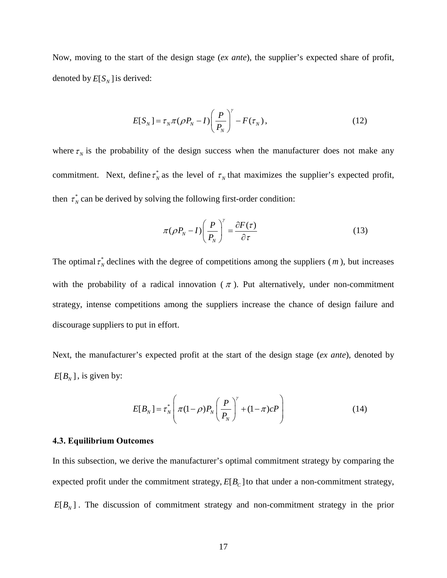Now, moving to the start of the design stage (*ex ante*), the supplier's expected share of profit, denoted by  $E[S_N]$  is derived:

$$
E[S_N] = \tau_N \pi (\rho P_N - I) \left(\frac{P}{P_N}\right)^{\gamma} - F(\tau_N), \qquad (12)
$$

where  $\tau_N$  is the probability of the design success when the manufacturer does not make any commitment. Next, define  $\tau_N^*$  as the level of  $\tau_N$  that maximizes the supplier's expected profit, then  $\tau_N^*$  can be derived by solving the following first-order condition:

$$
\pi(\rho P_N - I) \left(\frac{P}{P_N}\right)^{\gamma} = \frac{\partial F(\tau)}{\partial \tau}
$$
\n(13)

The optimal  $\tau_N^*$  declines with the degree of competitions among the suppliers (*m*), but increases with the probability of a radical innovation ( $\pi$ ). Put alternatively, under non-commitment strategy, intense competitions among the suppliers increase the chance of design failure and discourage suppliers to put in effort.

Next, the manufacturer's expected profit at the start of the design stage (*ex ante*), denoted by  $E[B_{N}]$ , is given by:

$$
E[B_N] = \tau_N^* \left( \pi (1 - \rho) P_N \left( \frac{P}{P_N} \right)^{\gamma} + (1 - \pi) c P \right)
$$
 (14)

#### **4.3. Equilibrium Outcomes**

In this subsection, we derive the manufacturer's optimal commitment strategy by comparing the expected profit under the commitment strategy,  $E[B_C]$  to that under a non-commitment strategy,  $E[B_{N}]$ . The discussion of commitment strategy and non-commitment strategy in the prior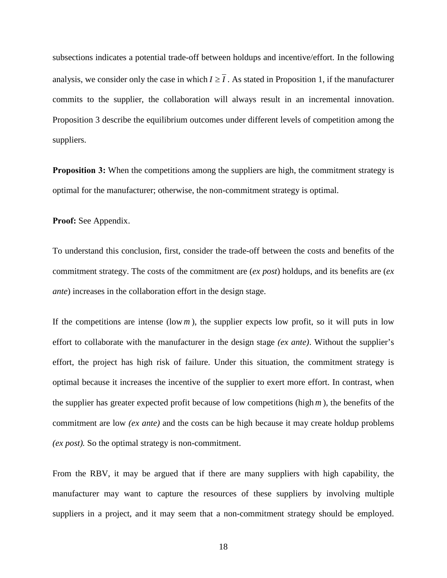subsections indicates a potential trade-off between holdups and incentive/effort. In the following analysis, we consider only the case in which  $I \geq I$ . As stated in Proposition 1, if the manufacturer commits to the supplier, the collaboration will always result in an incremental innovation. Proposition 3 describe the equilibrium outcomes under different levels of competition among the suppliers.

**Proposition 3:** When the competitions among the suppliers are high, the commitment strategy is optimal for the manufacturer; otherwise, the non-commitment strategy is optimal.

**Proof:** See Appendix.

To understand this conclusion, first, consider the trade-off between the costs and benefits of the commitment strategy. The costs of the commitment are (*ex post*) holdups, and its benefits are (*ex ante*) increases in the collaboration effort in the design stage.

If the competitions are intense (low  $m$ ), the supplier expects low profit, so it will puts in low effort to collaborate with the manufacturer in the design stage *(ex ante)*. Without the supplier's effort, the project has high risk of failure. Under this situation, the commitment strategy is optimal because it increases the incentive of the supplier to exert more effort. In contrast, when the supplier has greater expected profit because of low competitions (high *m* ), the benefits of the commitment are low *(ex ante)* and the costs can be high because it may create holdup problems *(ex post).* So the optimal strategy is non-commitment.

From the RBV, it may be argued that if there are many suppliers with high capability, the manufacturer may want to capture the resources of these suppliers by involving multiple suppliers in a project, and it may seem that a non-commitment strategy should be employed.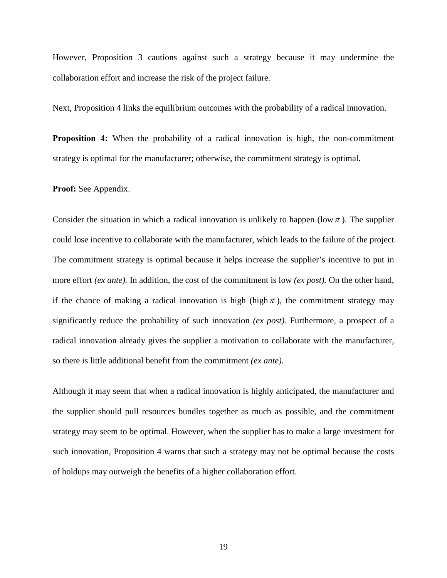However, Proposition 3 cautions against such a strategy because it may undermine the collaboration effort and increase the risk of the project failure.

Next, Proposition 4 links the equilibrium outcomes with the probability of a radical innovation.

**Proposition 4:** When the probability of a radical innovation is high, the non-commitment strategy is optimal for the manufacturer; otherwise, the commitment strategy is optimal.

**Proof:** See Appendix.

Consider the situation in which a radical innovation is unlikely to happen (low  $\pi$ ). The supplier could lose incentive to collaborate with the manufacturer, which leads to the failure of the project. The commitment strategy is optimal because it helps increase the supplier's incentive to put in more effort *(ex ante).* In addition, the cost of the commitment is low *(ex post).* On the other hand, if the chance of making a radical innovation is high (high  $\pi$ ), the commitment strategy may significantly reduce the probability of such innovation *(ex post).* Furthermore, a prospect of a radical innovation already gives the supplier a motivation to collaborate with the manufacturer, so there is little additional benefit from the commitment *(ex ante)*.

Although it may seem that when a radical innovation is highly anticipated, the manufacturer and the supplier should pull resources bundles together as much as possible, and the commitment strategy may seem to be optimal. However, when the supplier has to make a large investment for such innovation, Proposition 4 warns that such a strategy may not be optimal because the costs of holdups may outweigh the benefits of a higher collaboration effort.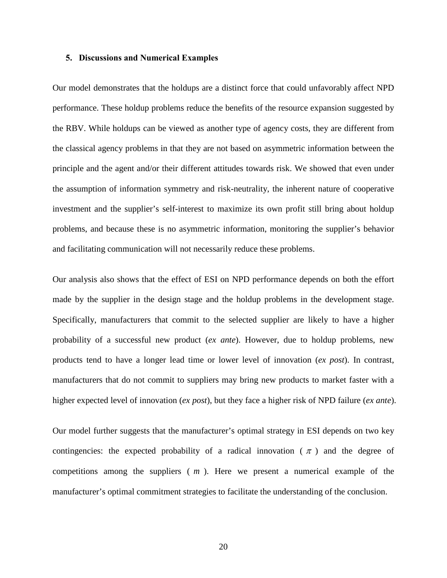#### **5. Discussions and Numerical Examples**

Our model demonstrates that the holdups are a distinct force that could unfavorably affect NPD performance. These holdup problems reduce the benefits of the resource expansion suggested by the RBV. While holdups can be viewed as another type of agency costs, they are different from the classical agency problems in that they are not based on asymmetric information between the principle and the agent and/or their different attitudes towards risk. We showed that even under the assumption of information symmetry and risk-neutrality, the inherent nature of cooperative investment and the supplier's self-interest to maximize its own profit still bring about holdup problems, and because these is no asymmetric information, monitoring the supplier's behavior and facilitating communication will not necessarily reduce these problems.

Our analysis also shows that the effect of ESI on NPD performance depends on both the effort made by the supplier in the design stage and the holdup problems in the development stage. Specifically, manufacturers that commit to the selected supplier are likely to have a higher probability of a successful new product (*ex ante*). However, due to holdup problems, new products tend to have a longer lead time or lower level of innovation (*ex post*). In contrast, manufacturers that do not commit to suppliers may bring new products to market faster with a higher expected level of innovation (*ex post*), but they face a higher risk of NPD failure (*ex ante*).

Our model further suggests that the manufacturer's optimal strategy in ESI depends on two key contingencies: the expected probability of a radical innovation ( $\pi$ ) and the degree of competitions among the suppliers ( *m* ). Here we present a numerical example of the manufacturer's optimal commitment strategies to facilitate the understanding of the conclusion.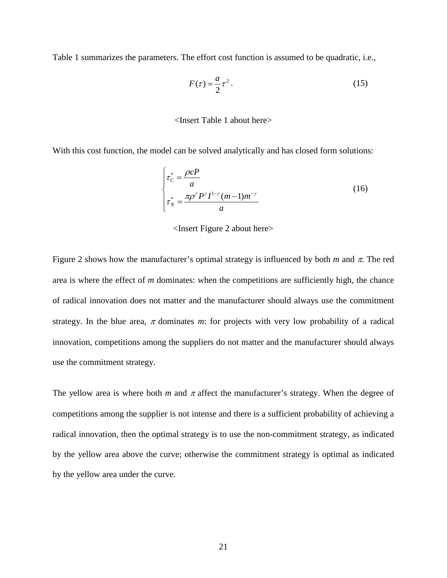Table 1 summarizes the parameters. The effort cost function is assumed to be quadratic, i.e.,

$$
F(\tau) = \frac{a}{2}\tau^2.
$$
 (15)

### <Insert Table 1 about here>

With this cost function, the model can be solved analytically and has closed form solutions:

$$
\begin{cases} \tau_C^* = \frac{\rho cP}{a} \\ \tau_N^* = \frac{\pi \rho^\gamma P^\gamma I^{1-\gamma} (m-1) m^{-\gamma}}{a} \end{cases}
$$
(16)

<Insert Figure 2 about here>

Figure 2 shows how the manufacturer's optimal strategy is influenced by both  $m$  and  $\pi$ . The red area is where the effect of *m* dominates: when the competitions are sufficiently high, the chance of radical innovation does not matter and the manufacturer should always use the commitment strategy. In the blue area,  $\pi$  dominates  $m$ : for projects with very low probability of a radical innovation, competitions among the suppliers do not matter and the manufacturer should always use the commitment strategy.

The yellow area is where both *m* and  $\pi$  affect the manufacturer's strategy. When the degree of competitions among the supplier is not intense and there is a sufficient probability of achieving a radical innovation, then the optimal strategy is to use the non-commitment strategy, as indicated by the yellow area above the curve; otherwise the commitment strategy is optimal as indicated by the yellow area under the curve.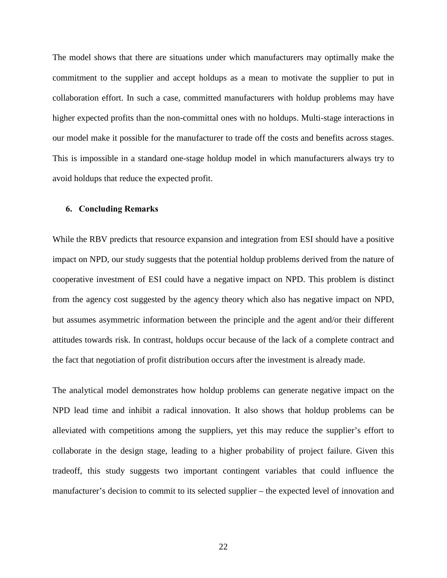The model shows that there are situations under which manufacturers may optimally make the commitment to the supplier and accept holdups as a mean to motivate the supplier to put in collaboration effort. In such a case, committed manufacturers with holdup problems may have higher expected profits than the non-committal ones with no holdups. Multi-stage interactions in our model make it possible for the manufacturer to trade off the costs and benefits across stages. This is impossible in a standard one-stage holdup model in which manufacturers always try to avoid holdups that reduce the expected profit.

### **6. Concluding Remarks**

While the RBV predicts that resource expansion and integration from ESI should have a positive impact on NPD, our study suggests that the potential holdup problems derived from the nature of cooperative investment of ESI could have a negative impact on NPD. This problem is distinct from the agency cost suggested by the agency theory which also has negative impact on NPD, but assumes asymmetric information between the principle and the agent and/or their different attitudes towards risk. In contrast, holdups occur because of the lack of a complete contract and the fact that negotiation of profit distribution occurs after the investment is already made.

The analytical model demonstrates how holdup problems can generate negative impact on the NPD lead time and inhibit a radical innovation. It also shows that holdup problems can be alleviated with competitions among the suppliers, yet this may reduce the supplier's effort to collaborate in the design stage, leading to a higher probability of project failure. Given this tradeoff, this study suggests two important contingent variables that could influence the manufacturer's decision to commit to its selected supplier – the expected level of innovation and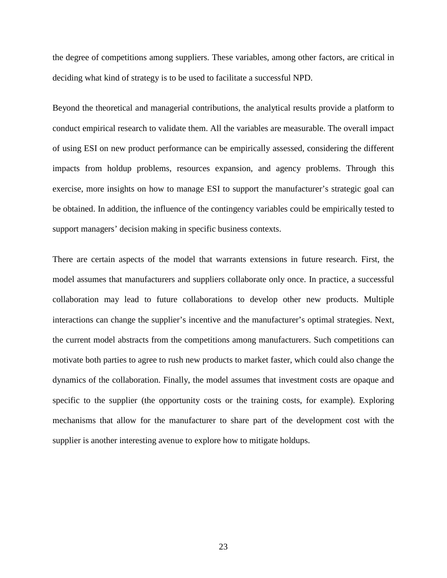the degree of competitions among suppliers. These variables, among other factors, are critical in deciding what kind of strategy is to be used to facilitate a successful NPD.

Beyond the theoretical and managerial contributions, the analytical results provide a platform to conduct empirical research to validate them. All the variables are measurable. The overall impact of using ESI on new product performance can be empirically assessed, considering the different impacts from holdup problems, resources expansion, and agency problems. Through this exercise, more insights on how to manage ESI to support the manufacturer's strategic goal can be obtained. In addition, the influence of the contingency variables could be empirically tested to support managers' decision making in specific business contexts.

There are certain aspects of the model that warrants extensions in future research. First, the model assumes that manufacturers and suppliers collaborate only once. In practice, a successful collaboration may lead to future collaborations to develop other new products. Multiple interactions can change the supplier's incentive and the manufacturer's optimal strategies. Next, the current model abstracts from the competitions among manufacturers. Such competitions can motivate both parties to agree to rush new products to market faster, which could also change the dynamics of the collaboration. Finally, the model assumes that investment costs are opaque and specific to the supplier (the opportunity costs or the training costs, for example). Exploring mechanisms that allow for the manufacturer to share part of the development cost with the supplier is another interesting avenue to explore how to mitigate holdups.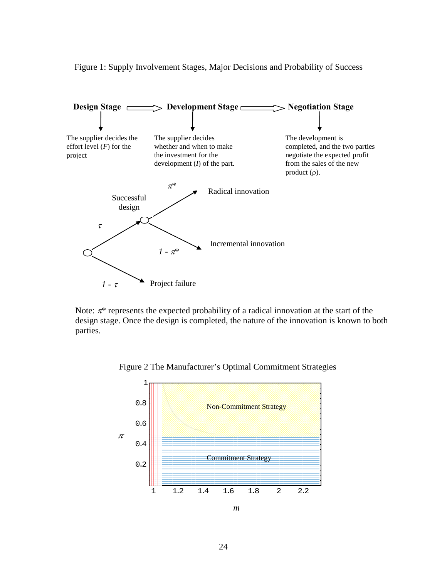

Figure 1: Supply Involvement Stages, Major Decisions and Probability of Success

Note:  $\pi^*$  represents the expected probability of a radical innovation at the start of the design stage. Once the design is completed, the nature of the innovation is known to both parties.



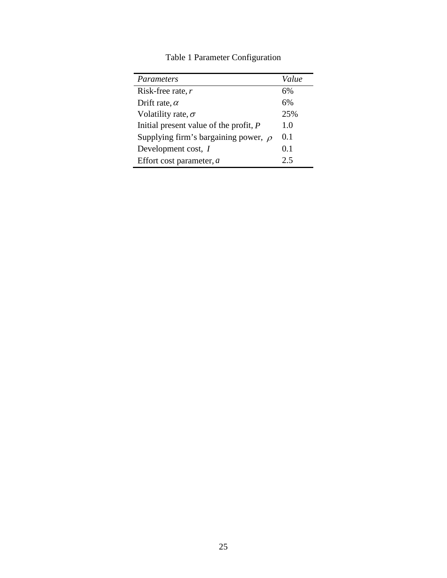| Parameters                                | Value |
|-------------------------------------------|-------|
| Risk-free rate, $r$                       | 6%    |
| Drift rate, $\alpha$                      | 6%    |
| Volatility rate, $\sigma$                 | 25%   |
| Initial present value of the profit, $P$  | 1.0   |
| Supplying firm's bargaining power, $\rho$ | 0.1   |
| Development cost, I                       | 0.1   |
| Effort cost parameter, $a$                | 2.5   |

Table 1 Parameter Configuration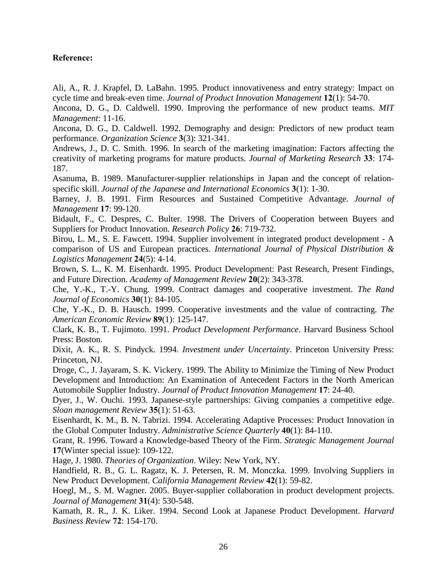## **Reference:**

Ali, A., R. J. Krapfel, D. LaBahn. 1995. Product innovativeness and entry strategy: Impact on cycle time and break-even time. *Journal of Product Innovation Management* **12**(1): 54-70.

Ancona, D. G., D. Caldwell. 1990. Improving the performance of new product teams. *MIT Management*: 11-16.

Ancona, D. G., D. Caldwell. 1992. Demography and design: Predictors of new product team performance. *Organization Science* **3**(3): 321-341.

Andrews, J., D. C. Smith. 1996. In search of the marketing imagination: Factors affecting the creativity of marketing programs for mature products. *Journal of Marketing Research* **33**: 174- 187.

Asanuma, B. 1989. Manufacturer-supplier relationships in Japan and the concept of relationspecific skill. *Journal of the Japanese and International Economics* **3**(1): 1-30.

Barney, J. B. 1991. Firm Resources and Sustained Competitive Advantage. *Journal of Management* **17**: 99-120.

Bidault, F., C. Despres, C. Bulter. 1998. The Drivers of Cooperation between Buyers and Suppliers for Product Innovation. *Research Policy* **26**: 719-732.

Birou, L. M., S. E. Fawcett. 1994. Supplier involvement in integrated product development - A comparison of US and European practices. *International Journal of Physical Distribution & Logistics Management* **24**(5): 4-14.

Brown, S. L., K. M. Eisenhardt. 1995. Product Development: Past Research, Present Findings, and Future Direction. *Academy of Management Review* **20**(2): 343-378.

Che, Y.-K., T.-Y. Chung. 1999. Contract damages and cooperative investment. *The Rand Journal of Economics* **30**(1): 84-105.

Che, Y.-K., D. B. Hausch. 1999. Cooperative investments and the value of contracting. *The American Economic Review* **89**(1): 125-147.

Clark, K. B., T. Fujimoto. 1991. *Product Development Performance*. Harvard Business School Press: Boston.

Dixit, A. K., R. S. Pindyck. 1994. *Investment under Uncertainty*. Princeton University Press: Princeton, NJ.

Droge, C., J. Jayaram, S. K. Vickery. 1999. The Ability to Minimize the Timing of New Product Development and Introduction: An Examination of Antecedent Factors in the North American Automobile Supplier Industry. *Journal of Product Innovation Management* **17**: 24-40.

Dyer, J., W. Ouchi. 1993. Japanese-style partnerships: Giving companies a competitive edge. *Sloan management Review* **35**(1): 51-63.

Eisenhardt, K. M., B. N. Tabrizi. 1994. Accelerating Adaptive Processes: Product Innovation in the Global Computer Industry. *Administrative Science Quarterly* **40**(1): 84-110.

Grant, R. 1996. Toward a Knowledge-based Theory of the Firm. *Strategic Management Journal* **17**(Winter special issue): 109-122.

Hage, J. 1980. *Theories of Organization*. Wiley: New York, NY.

Handfield, R. B., G. L. Ragatz, K. J. Petersen, R. M. Monczka. 1999. Involving Suppliers in New Product Development. *California Management Review* **42**(1): 59-82.

Hoegl, M., S. M. Wagner. 2005. Buyer-supplier collaboration in product development projects. *Journal of Management* **31**(4): 530-548.

Kamath, R. R., J. K. Liker. 1994. Second Look at Japanese Product Development. *Harvard Business Review* **72**: 154-170.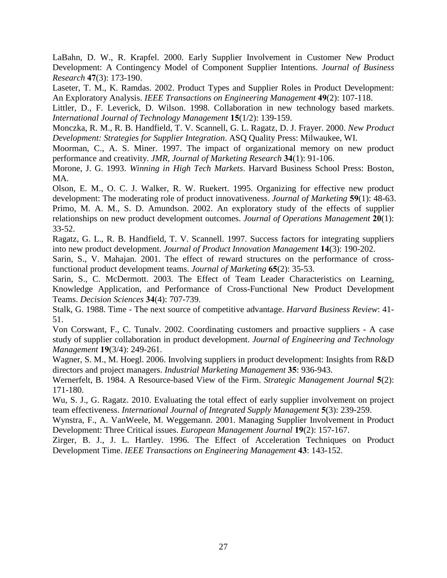LaBahn, D. W., R. Krapfel. 2000. Early Supplier Involvement in Customer New Product Development: A Contingency Model of Component Supplier Intentions. *Journal of Business Research* **47**(3): 173-190.

Laseter, T. M., K. Ramdas. 2002. Product Types and Supplier Roles in Product Development: An Exploratory Analysis. *IEEE Transactions on Engineering Management* **49**(2): 107-118.

Littler, D., F. Leverick, D. Wilson. 1998. Collaboration in new technology based markets. *International Journal of Technology Management* **15**(1/2): 139-159.

Monczka, R. M., R. B. Handfield, T. V. Scannell, G. L. Ragatz, D. J. Frayer. 2000. *New Product Development: Strategies for Supplier Integration*. ASQ Quality Press: Milwaukee, WI.

Moorman, C., A. S. Miner. 1997. The impact of organizational memory on new product performance and creativity. *JMR, Journal of Marketing Research* **34**(1): 91-106.

Morone, J. G. 1993. *Winning in High Tech Markets*. Harvard Business School Press: Boston, MA.

Olson, E. M., O. C. J. Walker, R. W. Ruekert. 1995. Organizing for effective new product development: The moderating role of product innovativeness. *Journal of Marketing* **59**(1): 48-63. Primo, M. A. M., S. D. Amundson. 2002. An exploratory study of the effects of supplier relationships on new product development outcomes. *Journal of Operations Management* **20**(1): 33-52.

Ragatz, G. L., R. B. Handfield, T. V. Scannell. 1997. Success factors for integrating suppliers into new product development. *Journal of Product Innovation Management* **14**(3): 190-202.

Sarin, S., V. Mahajan. 2001. The effect of reward structures on the performance of crossfunctional product development teams. *Journal of Marketing* **65**(2): 35-53.

Sarin, S., C. McDermott. 2003. The Effect of Team Leader Characteristics on Learning, Knowledge Application, and Performance of Cross-Functional New Product Development Teams. *Decision Sciences* **34**(4): 707-739.

Stalk, G. 1988. Time - The next source of competitive advantage. *Harvard Business Review*: 41- 51.

Von Corswant, F., C. Tunalv. 2002. Coordinating customers and proactive suppliers - A case study of supplier collaboration in product development. *Journal of Engineering and Technology Management* **19**(3/4): 249-261.

Wagner, S. M., M. Hoegl. 2006. Involving suppliers in product development: Insights from R&D directors and project managers. *Industrial Marketing Management* **35**: 936-943.

Wernerfelt, B. 1984. A Resource-based View of the Firm. *Strategic Management Journal* **5**(2): 171-180.

Wu, S. J., G. Ragatz. 2010. Evaluating the total effect of early supplier involvement on project team effectiveness. *International Journal of Integrated Supply Management* **5**(3): 239-259.

Wynstra, F., A. VanWeele, M. Weggemann. 2001. Managing Supplier Involvement in Product Development: Three Critical issues. *European Management Journal* **19**(2): 157-167.

Zirger, B. J., J. L. Hartley. 1996. The Effect of Acceleration Techniques on Product Development Time. *IEEE Transactions on Engineering Management* **43**: 143-152.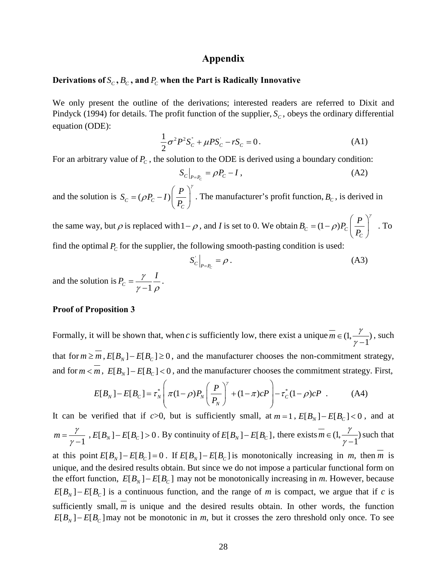## **Appendix**

#### Derivations of  $S_c$ ,  $B_c$ , and  $P_c$  when the Part is Radically Innovative

We only present the outline of the derivations; interested readers are referred to Dixit and Pindyck (1994) for details. The profit function of the supplier,  $S_c$ , obeys the ordinary differential equation (ODE):

$$
\frac{1}{2}\sigma^2 P^2 S_C^{\dagger} + \mu P S_C^{\dagger} - r S_C = 0.
$$
 (A1)

For an arbitrary value of  $P_c$ , the solution to the ODE is derived using a boundary condition:

$$
S_c|_{P = P_c} = \rho P_c - I \,, \tag{A2}
$$

and the solution is  $S_c = (\rho P_c - I)$ *C*  $S_c = (\rho P_c - I) \left( \frac{P}{R} \right)$ *P* γ ρ  $=(\rho P_c - I)\left(\frac{P}{P_c}\right)$ . The manufacturer's profit function,  $B<sub>c</sub>$ , is derived in

the same way, but  $\rho$  is replaced with  $1-\rho$ , and *I* is set to 0. We obtain  $B_c = (1-\rho)P_c\left(\frac{1}{R}\right)$ *C*  $B_c = (1-\rho)P_c\left(\frac{P}{R}\right)$ *P* γ ρ  $=(1-\rho)P_C\left(\frac{P}{P_C}\right)$ . To find the optimal  $P_c$  for the supplier, the following smooth-pasting condition is used:

$$
S_C\Big|_{P=P_C} = \rho \,. \tag{A3}
$$

and the solution is  $P_c = \frac{7}{\gamma - 1}$  $P_c = \frac{\gamma}{\gamma - 1} \frac{I}{\rho}$ .

#### **Proof of Proposition 3**

Formally, it will be shown that, when *c* is sufficiently low, there exist a unique  $\overline{m} \in (1, \frac{\gamma}{\gamma - 1})$  $\in (1, \frac{7}{\gamma - 1}),$  such that for  $m \ge m$ ,  $E[B_N] - E[B_C] \ge 0$ , and the manufacturer chooses the non-commitment strategy, and for  $m < m$ ,  $E[B_N] - E[B_C] < 0$ , and the manufacturer chooses the commitment strategy. First,

$$
E[B_N] - E[B_C] = \tau_N^* \left( \pi (1 - \rho) P_N \left( \frac{P}{P_N} \right)^{\gamma} + (1 - \pi) c P \right) - \tau_C^* (1 - \rho) c P \quad . \tag{A4}
$$

It can be verified that if *c*>0, but is sufficiently small, at  $m = 1$ ,  $E[B_N] - E[B_C] < 0$ , and at 1  $m = \frac{\gamma}{\gamma - 1}$ ,  $E[B_N] - E[B_C] > 0$ . By continuity of  $E[B_N] - E[B_C]$ , there exists  $m \in (1, \frac{\gamma}{\gamma - 1})$  $\in (1, \frac{7}{\gamma - 1})$  such that at this point  $E[B_N] - E[B_C] = 0$ . If  $E[B_N] - E[B_C]$  is monotonically increasing in *m*, then  $\overline{m}$  is unique, and the desired results obtain. But since we do not impose a particular functional form on the effort function,  $E[B_N] - E[B_C]$  may not be monotonically increasing in *m*. However, because

 $E[B_N] - E[B_C]$  is a continuous function, and the range of *m* is compact, we argue that if *c* is sufficiently small, *m* is unique and the desired results obtain. In other words, the function  $E[B_{N}] - E[B_{C}]$  may not be monotonic in *m*, but it crosses the zero threshold only once. To see